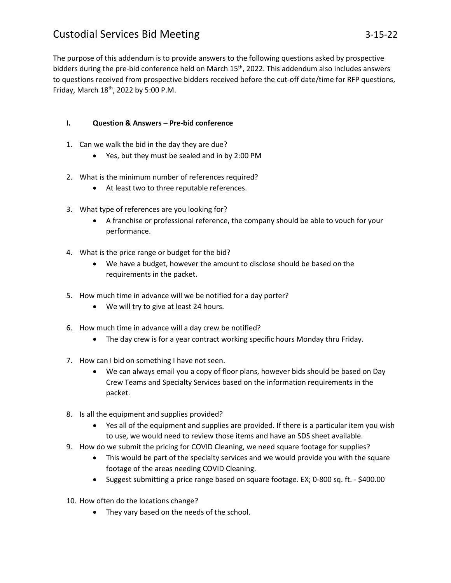## Custodial Services Bid Meeting 3-15-22

The purpose of this addendum is to provide answers to the following questions asked by prospective bidders during the pre-bid conference held on March 15<sup>th</sup>, 2022. This addendum also includes answers to questions received from prospective bidders received before the cut-off date/time for RFP questions, Friday, March 18th, 2022 by 5:00 P.M.

## **I. Question & Answers – Pre-bid conference**

- 1. Can we walk the bid in the day they are due?
	- Yes, but they must be sealed and in by 2:00 PM
- 2. What is the minimum number of references required?
	- At least two to three reputable references.
- 3. What type of references are you looking for?
	- A franchise or professional reference, the company should be able to vouch for your performance.
- 4. What is the price range or budget for the bid?
	- We have a budget, however the amount to disclose should be based on the requirements in the packet.
- 5. How much time in advance will we be notified for a day porter?
	- We will try to give at least 24 hours.
- 6. How much time in advance will a day crew be notified?
	- The day crew is for a year contract working specific hours Monday thru Friday.
- 7. How can I bid on something I have not seen.
	- We can always email you a copy of floor plans, however bids should be based on Day Crew Teams and Specialty Services based on the information requirements in the packet.
- 8. Is all the equipment and supplies provided?
	- Yes all of the equipment and supplies are provided. If there is a particular item you wish to use, we would need to review those items and have an SDS sheet available.
- 9. How do we submit the pricing for COVID Cleaning, we need square footage for supplies?
	- This would be part of the specialty services and we would provide you with the square footage of the areas needing COVID Cleaning.
	- Suggest submitting a price range based on square footage. EX; 0-800 sq. ft. \$400.00
- 10. How often do the locations change?
	- They vary based on the needs of the school.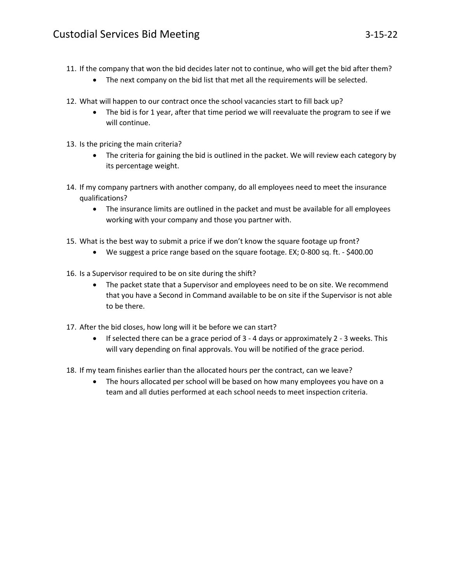- The next company on the bid list that met all the requirements will be selected.
- 12. What will happen to our contract once the school vacancies start to fill back up?
	- The bid is for 1 year, after that time period we will reevaluate the program to see if we will continue.
- 13. Is the pricing the main criteria?
	- The criteria for gaining the bid is outlined in the packet. We will review each category by its percentage weight.
- 14. If my company partners with another company, do all employees need to meet the insurance qualifications?
	- The insurance limits are outlined in the packet and must be available for all employees working with your company and those you partner with.
- 15. What is the best way to submit a price if we don't know the square footage up front?
	- We suggest a price range based on the square footage. EX; 0-800 sq. ft. \$400.00
- 16. Is a Supervisor required to be on site during the shift?
	- The packet state that a Supervisor and employees need to be on site. We recommend that you have a Second in Command available to be on site if the Supervisor is not able to be there.
- 17. After the bid closes, how long will it be before we can start?
	- $\bullet$  If selected there can be a grace period of 3 4 days or approximately 2 3 weeks. This will vary depending on final approvals. You will be notified of the grace period.
- 18. If my team finishes earlier than the allocated hours per the contract, can we leave?
	- The hours allocated per school will be based on how many employees you have on a team and all duties performed at each school needs to meet inspection criteria.